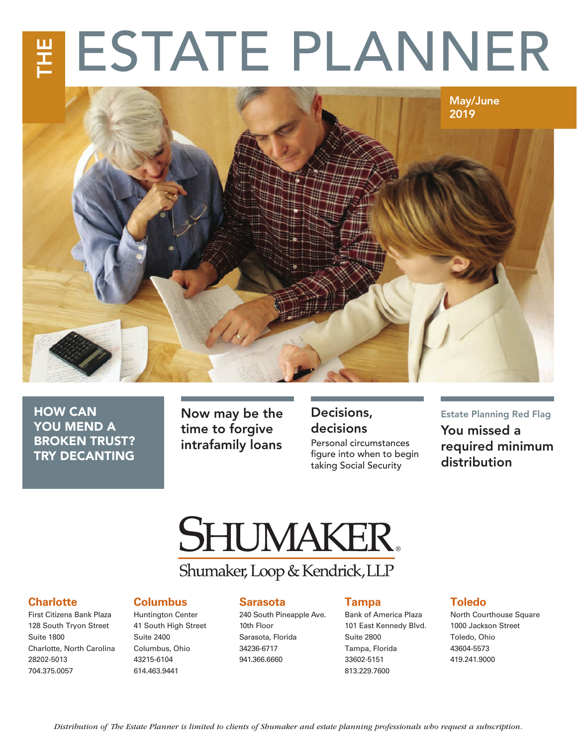# 포<br>존 ESTATE PLANNER



HOW CAN YOU MEND A BROKEN TRUST? TRY DECANTING

Now may be the time to forgive intrafamily loans

### Decisions, decisions

Personal circumstances figure into when to begin taking Social Security

### Estate Planning Red Flag You missed a

required minimum distribution

# **SHUMAKER.**

## Shumaker, Loop & Kendrick, LLP

#### **Charlotte**

First Citizens Bank Plaza 128 South Tryon Street Suite 1800 Charlotte, North Carolina 28202-5013 704.375.0057

#### **Columbus**

Huntington Center 41 South High Street Suite 2400 Columbus, Ohio 43215-6104 614.463.9441

#### **Sarasota**

240 South Pineapple Ave. 10th Floor Sarasota, Florida 34236-6717 941.366.6660

#### **Tampa**

Bank of America Plaza 101 East Kennedy Blvd. Suite 2800 Tampa, Florida 33602-5151 813.229.7600

#### **Toledo**

North Courthouse Square 1000 Jackson Street Toledo, Ohio 43604-5573 419.241.9000

*Distribution of The Estate Planner is limited to clients of Shumaker and estate planning professionals who request a subscription.*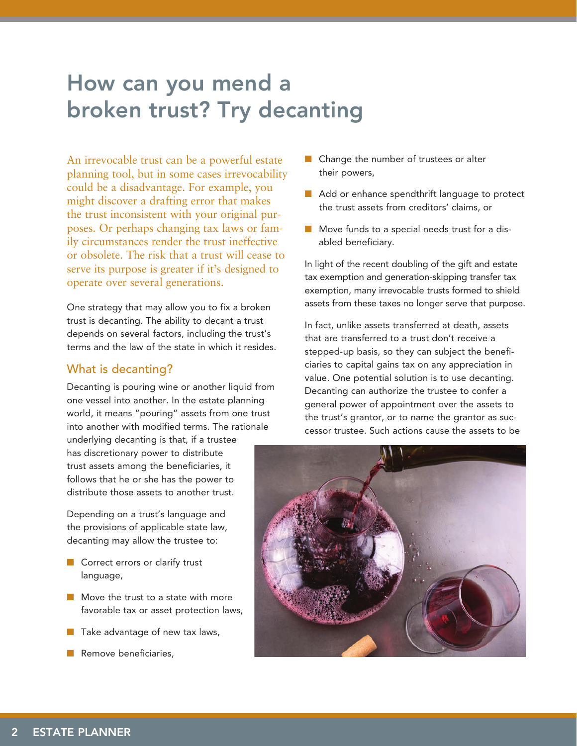# How can you mend a broken trust? Try decanting

An irrevocable trust can be a powerful estate planning tool, but in some cases irrevocability could be a disadvantage. For example, you might discover a drafting error that makes the trust inconsistent with your original purposes. Or perhaps changing tax laws or family circumstances render the trust ineffective or obsolete. The risk that a trust will cease to serve its purpose is greater if it's designed to operate over several generations.

One strategy that may allow you to fix a broken trust is decanting. The ability to decant a trust depends on several factors, including the trust's terms and the law of the state in which it resides.

#### What is decanting?

Decanting is pouring wine or another liquid from one vessel into another. In the estate planning world, it means "pouring" assets from one trust into another with modified terms. The rationale

underlying decanting is that, if a trustee has discretionary power to distribute trust assets among the beneficiaries, it follows that he or she has the power to distribute those assets to another trust.

Depending on a trust's language and the provisions of applicable state law, decanting may allow the trustee to:

- Correct errors or clarify trust language,
- Move the trust to a state with more favorable tax or asset protection laws,
- Take advantage of new tax laws,
- Remove beneficiaries,
- Change the number of trustees or alter their powers,
- Add or enhance spendthrift language to protect the trust assets from creditors' claims, or
- Move funds to a special needs trust for a disabled beneficiary.

In light of the recent doubling of the gift and estate tax exemption and generation-skipping transfer tax exemption, many irrevocable trusts formed to shield assets from these taxes no longer serve that purpose.

In fact, unlike assets transferred at death, assets that are transferred to a trust don't receive a stepped-up basis, so they can subject the beneficiaries to capital gains tax on any appreciation in value. One potential solution is to use decanting. Decanting can authorize the trustee to confer a general power of appointment over the assets to the trust's grantor, or to name the grantor as successor trustee. Such actions cause the assets to be

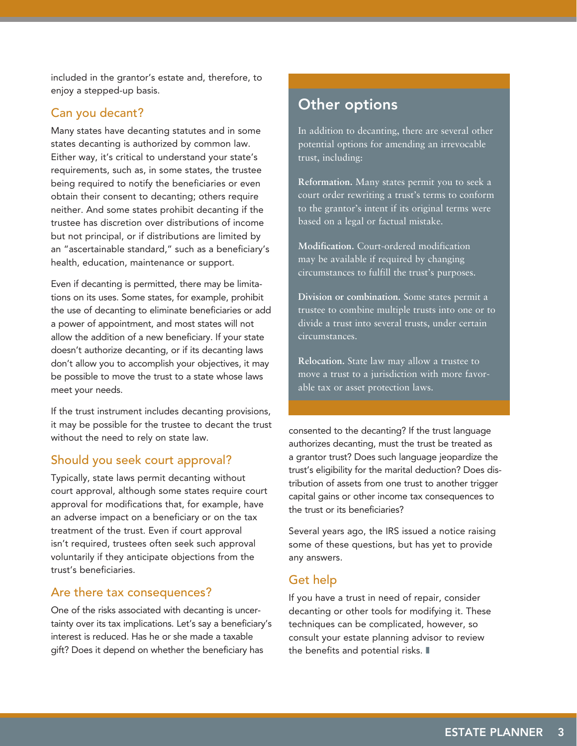included in the grantor's estate and, therefore, to enjoy a stepped-up basis.

#### Can you decant?

Many states have decanting statutes and in some states decanting is authorized by common law. Either way, it's critical to understand your state's requirements, such as, in some states, the trustee being required to notify the beneficiaries or even obtain their consent to decanting; others require neither. And some states prohibit decanting if the trustee has discretion over distributions of income but not principal, or if distributions are limited by an "ascertainable standard," such as a beneficiary's health, education, maintenance or support.

Even if decanting is permitted, there may be limitations on its uses. Some states, for example, prohibit the use of decanting to eliminate beneficiaries or add a power of appointment, and most states will not allow the addition of a new beneficiary. If your state doesn't authorize decanting, or if its decanting laws don't allow you to accomplish your objectives, it may be possible to move the trust to a state whose laws meet your needs.

If the trust instrument includes decanting provisions, it may be possible for the trustee to decant the trust without the need to rely on state law.

#### Should you seek court approval?

Typically, state laws permit decanting without court approval, although some states require court approval for modifications that, for example, have an adverse impact on a beneficiary or on the tax treatment of the trust. Even if court approval isn't required, trustees often seek such approval voluntarily if they anticipate objections from the trust's beneficiaries.

#### Are there tax consequences?

One of the risks associated with decanting is uncertainty over its tax implications. Let's say a beneficiary's interest is reduced. Has he or she made a taxable gift? Does it depend on whether the beneficiary has

### Other options

In addition to decanting, there are several other potential options for amending an irrevocable trust, including:

**Reformation.** Many states permit you to seek a court order rewriting a trust's terms to conform to the grantor's intent if its original terms were based on a legal or factual mistake.

**Modification.** Court-ordered modification may be available if required by changing circumstances to fulfill the trust's purposes.

**Division or combination.** Some states permit a trustee to combine multiple trusts into one or to divide a trust into several trusts, under certain circumstances.

**Relocation.** State law may allow a trustee to move a trust to a jurisdiction with more favorable tax or asset protection laws.

consented to the decanting? If the trust language authorizes decanting, must the trust be treated as a grantor trust? Does such language jeopardize the trust's eligibility for the marital deduction? Does distribution of assets from one trust to another trigger capital gains or other income tax consequences to the trust or its beneficiaries?

Several years ago, the IRS issued a notice raising some of these questions, but has yet to provide any answers.

#### Get help

If you have a trust in need of repair, consider decanting or other tools for modifying it. These techniques can be complicated, however, so consult your estate planning advisor to review the benefits and potential risks. ❚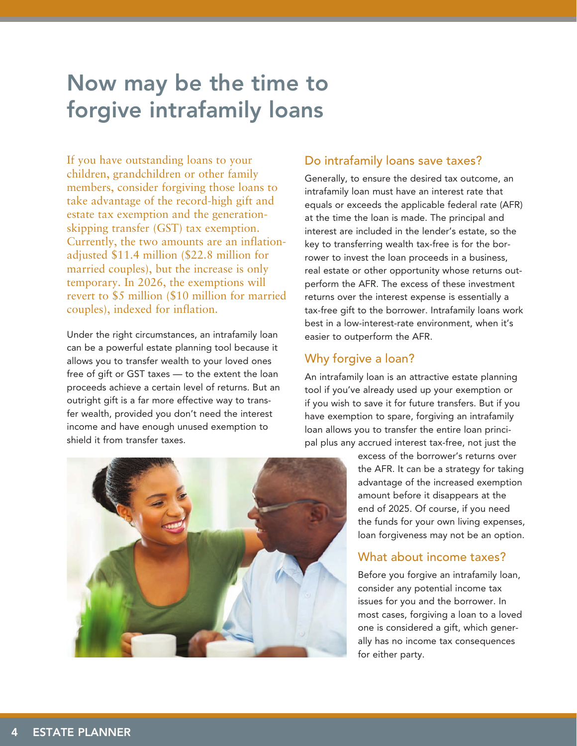# Now may be the time to forgive intrafamily loans

If you have outstanding loans to your children, grandchildren or other family members, consider forgiving those loans to take advantage of the record-high gift and estate tax exemption and the generationskipping transfer (GST) tax exemption. Currently, the two amounts are an inflationadjusted \$11.4 million (\$22.8 million for married couples), but the increase is only temporary. In 2026, the exemptions will revert to \$5 million (\$10 million for married couples), indexed for inflation.

Under the right circumstances, an intrafamily loan can be a powerful estate planning tool because it allows you to transfer wealth to your loved ones free of gift or GST taxes — to the extent the loan proceeds achieve a certain level of returns. But an outright gift is a far more effective way to transfer wealth, provided you don't need the interest income and have enough unused exemption to shield it from transfer taxes.

#### Do intrafamily loans save taxes?

Generally, to ensure the desired tax outcome, an intrafamily loan must have an interest rate that equals or exceeds the applicable federal rate (AFR) at the time the loan is made. The principal and interest are included in the lender's estate, so the key to transferring wealth tax-free is for the borrower to invest the loan proceeds in a business, real estate or other opportunity whose returns outperform the AFR. The excess of these investment returns over the interest expense is essentially a tax-free gift to the borrower. Intrafamily loans work best in a low-interest-rate environment, when it's easier to outperform the AFR.

#### Why forgive a loan?

An intrafamily loan is an attractive estate planning tool if you've already used up your exemption or if you wish to save it for future transfers. But if you have exemption to spare, forgiving an intrafamily loan allows you to transfer the entire loan principal plus any accrued interest tax-free, not just the

> excess of the borrower's returns over the AFR. It can be a strategy for taking advantage of the increased exemption amount before it disappears at the end of 2025. Of course, if you need the funds for your own living expenses, loan forgiveness may not be an option.

#### What about income taxes?

Before you forgive an intrafamily loan, consider any potential income tax issues for you and the borrower. In most cases, forgiving a loan to a loved one is considered a gift, which generally has no income tax consequences for either party.

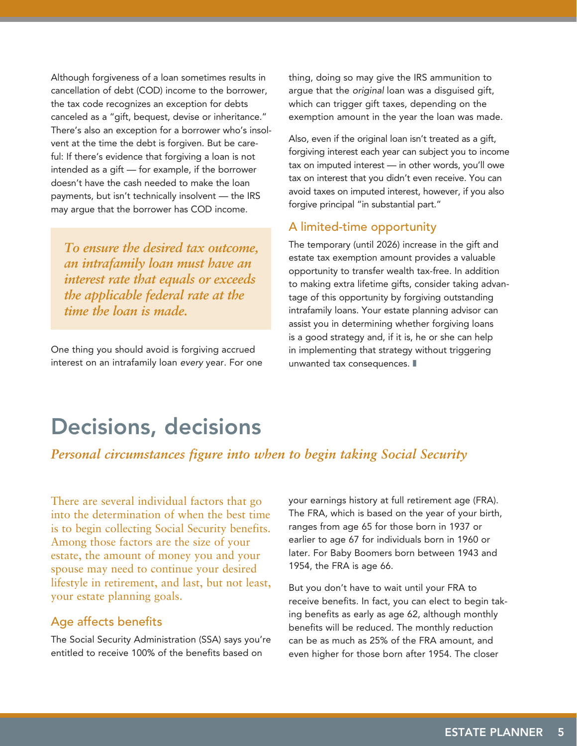Although forgiveness of a loan sometimes results in cancellation of debt (COD) income to the borrower, the tax code recognizes an exception for debts canceled as a "gift, bequest, devise or inheritance." There's also an exception for a borrower who's insolvent at the time the debt is forgiven. But be careful: If there's evidence that forgiving a loan is not intended as a gift — for example, if the borrower doesn't have the cash needed to make the loan payments, but isn't technically insolvent — the IRS may argue that the borrower has COD income.

*To ensure the desired tax outcome, an intrafamily loan must have an interest rate that equals or exceeds the applicable federal rate at the time the loan is made.*

One thing you should avoid is forgiving accrued interest on an intrafamily loan *every* year. For one thing, doing so may give the IRS ammunition to argue that the *original* loan was a disguised gift, which can trigger gift taxes, depending on the exemption amount in the year the loan was made.

Also, even if the original loan isn't treated as a gift, forgiving interest each year can subject you to income tax on imputed interest — in other words, you'll owe tax on interest that you didn't even receive. You can avoid taxes on imputed interest, however, if you also forgive principal "in substantial part."

#### A limited-time opportunity

The temporary (until 2026) increase in the gift and estate tax exemption amount provides a valuable opportunity to transfer wealth tax-free. In addition to making extra lifetime gifts, consider taking advantage of this opportunity by forgiving outstanding intrafamily loans. Your estate planning advisor can assist you in determining whether forgiving loans is a good strategy and, if it is, he or she can help in implementing that strategy without triggering unwanted tax consequences. ❚

# Decisions, decisions

#### *Personal circumstances figure into when to begin taking Social Security*

There are several individual factors that go into the determination of when the best time is to begin collecting Social Security benefits. Among those factors are the size of your estate, the amount of money you and your spouse may need to continue your desired lifestyle in retirement, and last, but not least, your estate planning goals.

#### Age affects benefits

The Social Security Administration (SSA) says you're entitled to receive 100% of the benefits based on

your earnings history at full retirement age (FRA). The FRA, which is based on the year of your birth, ranges from age 65 for those born in 1937 or earlier to age 67 for individuals born in 1960 or later. For Baby Boomers born between 1943 and 1954, the FRA is age 66.

But you don't have to wait until your FRA to receive benefits. In fact, you can elect to begin taking benefits as early as age 62, although monthly benefits will be reduced. The monthly reduction can be as much as 25% of the FRA amount, and even higher for those born after 1954. The closer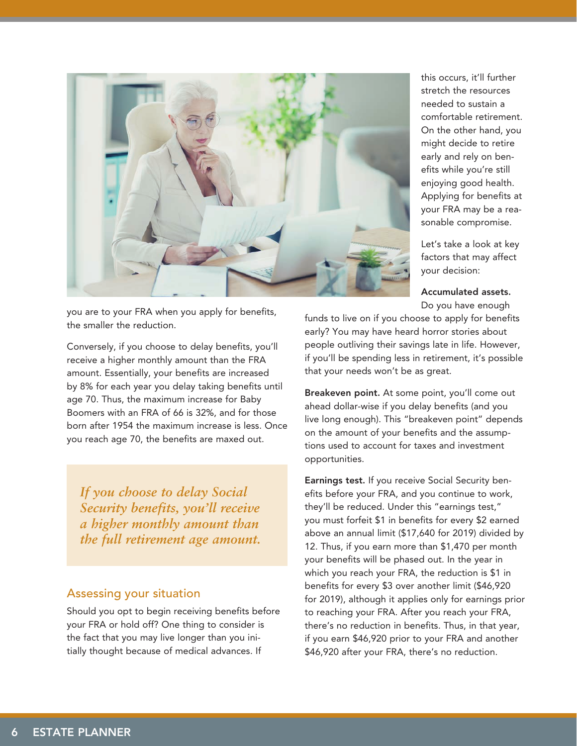

you are to your FRA when you apply for benefits, the smaller the reduction.

Conversely, if you choose to delay benefits, you'll receive a higher monthly amount than the FRA amount. Essentially, your benefits are increased by 8% for each year you delay taking benefits until age 70. Thus, the maximum increase for Baby Boomers with an FRA of 66 is 32%, and for those born after 1954 the maximum increase is less. Once you reach age 70, the benefits are maxed out.

*If you choose to delay Social Security benefits, you'll receive a higher monthly amount than the full retirement age amount.*

#### Assessing your situation

Should you opt to begin receiving benefits before your FRA or hold off? One thing to consider is the fact that you may live longer than you initially thought because of medical advances. If

this occurs, it'll further stretch the resources needed to sustain a comfortable retirement. On the other hand, you might decide to retire early and rely on benefits while you're still enjoying good health. Applying for benefits at your FRA may be a reasonable compromise.

Let's take a look at key factors that may affect your decision:

#### Accumulated assets.

Do you have enough funds to live on if you choose to apply for benefits early? You may have heard horror stories about people outliving their savings late in life. However, if you'll be spending less in retirement, it's possible that your needs won't be as great.

Breakeven point. At some point, you'll come out ahead dollar-wise if you delay benefits (and you live long enough). This "breakeven point" depends on the amount of your benefits and the assumptions used to account for taxes and investment opportunities.

Earnings test. If you receive Social Security benefits before your FRA, and you continue to work, they'll be reduced. Under this "earnings test," you must forfeit \$1 in benefits for every \$2 earned above an annual limit (\$17,640 for 2019) divided by 12. Thus, if you earn more than \$1,470 per month your benefits will be phased out. In the year in which you reach your FRA, the reduction is \$1 in benefits for every \$3 over another limit (\$46,920 for 2019), although it applies only for earnings prior to reaching your FRA. After you reach your FRA, there's no reduction in benefits. Thus, in that year, if you earn \$46,920 prior to your FRA and another \$46,920 after your FRA, there's no reduction.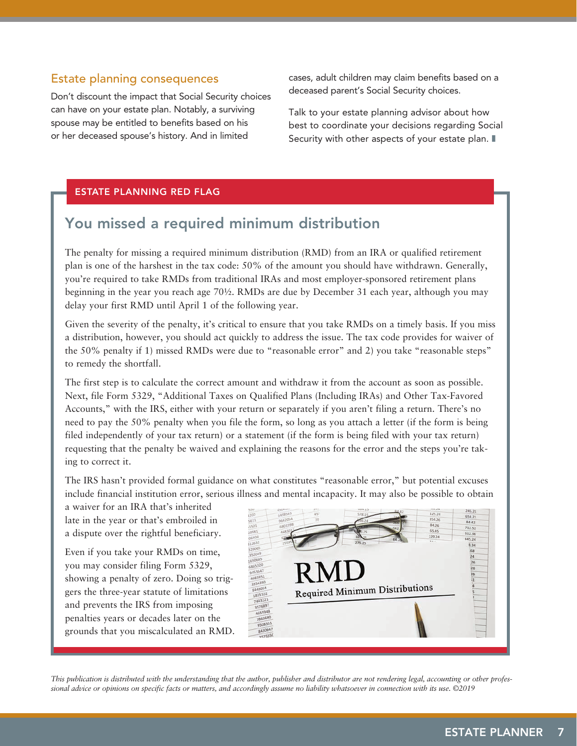#### Estate planning consequences

Don't discount the impact that Social Security choices can have on your estate plan. Notably, a surviving spouse may be entitled to benefits based on his or her deceased spouse's history. And in limited

cases, adult children may claim benefits based on a deceased parent's Social Security choices.

Talk to your estate planning advisor about how best to coordinate your decisions regarding Social Security with other aspects of your estate plan.  $\blacksquare$ 

#### ESTATE PLANNING RED FLAG

### You missed a required minimum distribution

The penalty for missing a required minimum distribution (RMD) from an IRA or qualified retirement plan is one of the harshest in the tax code: 50% of the amount you should have withdrawn. Generally, you're required to take RMDs from traditional IRAs and most employer-sponsored retirement plans beginning in the year you reach age 70½. RMDs are due by December 31 each year, although you may delay your first RMD until April 1 of the following year.

Given the severity of the penalty, it's critical to ensure that you take RMDs on a timely basis. If you miss a distribution, however, you should act quickly to address the issue. The tax code provides for waiver of the 50% penalty if 1) missed RMDs were due to "reasonable error" and 2) you take "reasonable steps" to remedy the shortfall.

The first step is to calculate the correct amount and withdraw it from the account as soon as possible. Next, file Form 5329, "Additional Taxes on Qualified Plans (Including IRAs) and Other Tax-Favored Accounts," with the IRS, either with your return or separately if you aren't filing a return. There's no need to pay the 50% penalty when you file the form, so long as you attach a letter (if the form is being filed independently of your tax return) or a statement (if the form is being filed with your tax return) requesting that the penalty be waived and explaining the reasons for the error and the steps you're taking to correct it.

The IRS hasn't provided formal guidance on what constitutes "reasonable error," but potential excuses include financial institution error, serious illness and mental incapacity. It may also be possible to obtain

a waiver for an IRA that's inherited late in the year or that's embroiled in a dispute over the rightful beneficiary.

Even if you take your RMDs on time, you may consider filing Form 5329, showing a penalty of zero. Doing so triggers the three-year statute of limitations and prevents the IRS from imposing penalties years or decades later on the grounds that you miscalculated an RMD.



*This publication is distributed with the understanding that the author, publisher and distributor are not rendering legal, accounting or other professional advice or opinions on specific facts or matters, and accordingly assume no liability whatsoever in connection with its use. ©2019*